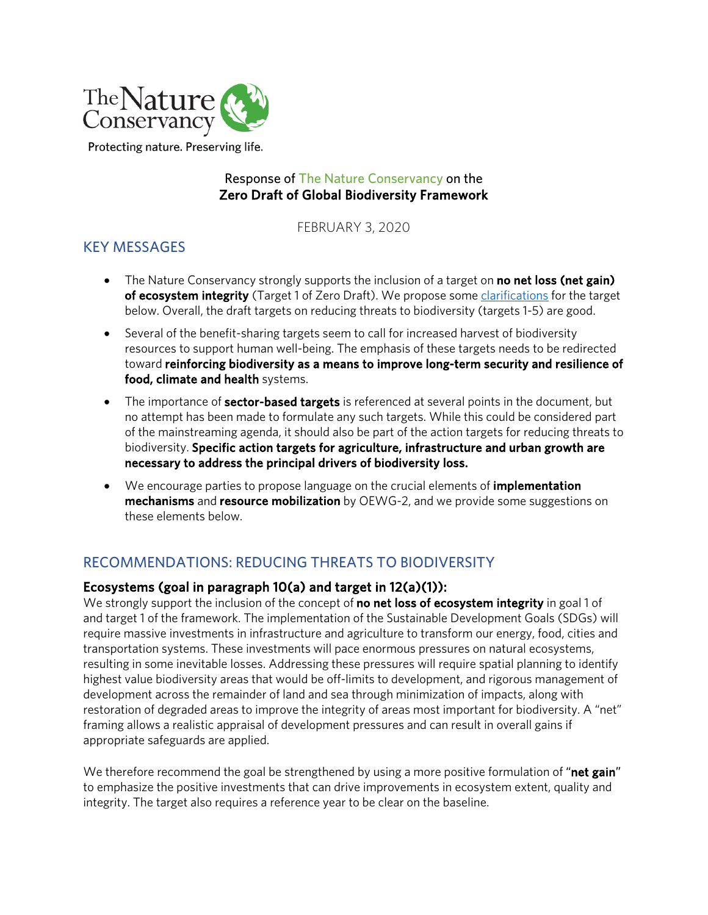

Protecting nature. Preserving life.

### Response of The Nature Conservancy on the Zero Draft of Global Biodiversity Framework

FEBRUARY 3, 2020

# KEY MESSAGES

- The Nature Conservancy strongly supports the inclusion of a target on **no net loss (net gain)** of ecosystem integrity (Target 1 of Zero Draft). We propose some clarifications for the target below. Overall, the draft targets on reducing threats to biodiversity (targets 1-5) are good.
- Several of the benefit-sharing targets seem to call for increased harvest of biodiversity resources to support human well-being. The emphasis of these targets needs to be redirected toward reinforcing biodiversity as a means to improve long-term security and resilience of food, climate and health systems.
- The importance of **sector-based targets** is referenced at several points in the document, but no attempt has been made to formulate any such targets. While this could be considered part of the mainstreaming agenda, it should also be part of the action targets for reducing threats to biodiversity. Specific action targets for agriculture, infrastructure and urban growth are necessary to address the principal drivers of biodiversity loss.
- We encourage parties to propose language on the crucial elements of **implementation** mechanisms and resource mobilization by OEWG-2, and we provide some suggestions on these elements below.

# RECOMMENDATIONS: REDUCING THREATS TO BIODIVERSITY

#### Ecosystems (goal in paragraph 10(a) and target in 12(a)(1)):

We strongly support the inclusion of the concept of **no net loss of ecosystem integrity** in goal 1 of and target 1 of the framework. The implementation of the Sustainable Development Goals (SDGs) will require massive investments in infrastructure and agriculture to transform our energy, food, cities and transportation systems. These investments will pace enormous pressures on natural ecosystems, resulting in some inevitable losses. Addressing these pressures will require spatial planning to identify highest value biodiversity areas that would be off-limits to development, and rigorous management of development across the remainder of land and sea through minimization of impacts, along with restoration of degraded areas to improve the integrity of areas most important for biodiversity. A "net" framing allows a realistic appraisal of development pressures and can result in overall gains if appropriate safeguards are applied.

We therefore recommend the goal be strengthened by using a more positive formulation of "net gain" to emphasize the positive investments that can drive improvements in ecosystem extent, quality and integrity. The target also requires a reference year to be clear on the baseline.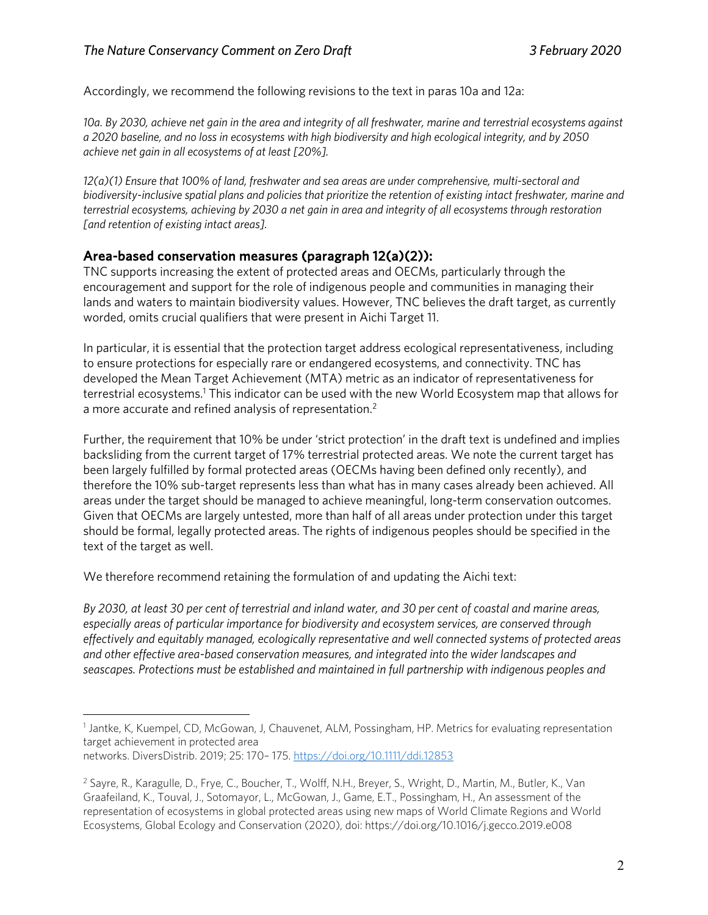Accordingly, we recommend the following revisions to the text in paras 10a and 12a:

*10a. By 2030, achieve net gain in the area and integrity of all freshwater, marine and terrestrial ecosystems against a 2020 baseline, and no loss in ecosystems with high biodiversity and high ecological integrity, and by 2050 achieve net gain in all ecosystems of at least [20%].* 

*12(a)(1) Ensure that 100% of land, freshwater and sea areas are under comprehensive, multi-sectoral and biodiversity-inclusive spatial plans and policies that prioritize the retention of existing intact freshwater, marine and terrestrial ecosystems, achieving by 2030 a net gain in area and integrity of all ecosystems through restoration [and retention of existing intact areas].* 

#### Area-based conservation measures (paragraph 12(a)(2)):

TNC supports increasing the extent of protected areas and OECMs, particularly through the encouragement and support for the role of indigenous people and communities in managing their lands and waters to maintain biodiversity values. However, TNC believes the draft target, as currently worded, omits crucial qualifiers that were present in Aichi Target 11.

In particular, it is essential that the protection target address ecological representativeness, including to ensure protections for especially rare or endangered ecosystems, and connectivity. TNC has developed the Mean Target Achievement (MTA) metric as an indicator of representativeness for terrestrial ecosystems.<sup>1</sup> This indicator can be used with the new World Ecosystem map that allows for a more accurate and refined analysis of representation.<sup>2</sup>

Further, the requirement that 10% be under 'strict protection' in the draft text is undefined and implies backsliding from the current target of 17% terrestrial protected areas. We note the current target has been largely fulfilled by formal protected areas (OECMs having been defined only recently), and therefore the 10% sub-target represents less than what has in many cases already been achieved. All areas under the target should be managed to achieve meaningful, long-term conservation outcomes. Given that OECMs are largely untested, more than half of all areas under protection under this target should be formal, legally protected areas. The rights of indigenous peoples should be specified in the text of the target as well.

We therefore recommend retaining the formulation of and updating the Aichi text:

*By 2030, at least 30 per cent of terrestrial and inland water, and 30 per cent of coastal and marine areas, especially areas of particular importance for biodiversity and ecosystem services, are conserved through effectively and equitably managed, ecologically representative and well connected systems of protected areas and other effective area-based conservation measures, and integrated into the wider landscapes and seascapes. Protections must be established and maintained in full partnership with indigenous peoples and* 

<sup>&</sup>lt;sup>1</sup> Jantke, K, Kuempel, CD, McGowan, J, Chauvenet, ALM, Possingham, HP. Metrics for evaluating representation target achievement in protected area networks. DiversDistrib. 2019; 25: 170– 175. https://doi.org/10.1111/ddi.12853

<sup>2</sup> Sayre, R., Karagulle, D., Frye, C., Boucher, T., Wolff, N.H., Breyer, S., Wright, D., Martin, M., Butler, K., Van Graafeiland, K., Touval, J., Sotomayor, L., McGowan, J., Game, E.T., Possingham, H., An assessment of the representation of ecosystems in global protected areas using new maps of World Climate Regions and World Ecosystems, Global Ecology and Conservation (2020), doi: https://doi.org/10.1016/j.gecco.2019.e008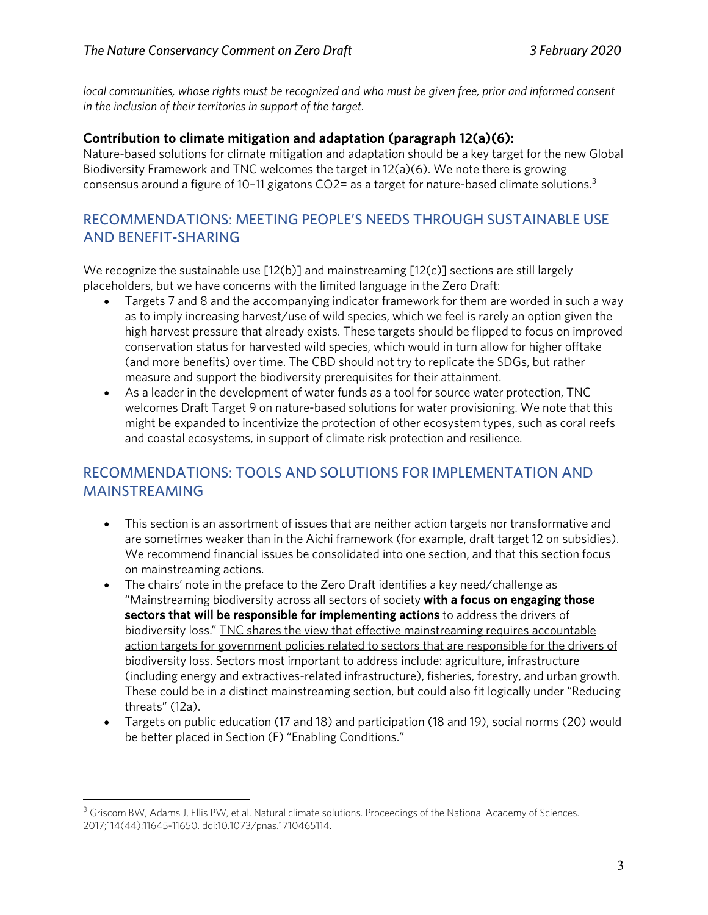*local communities, whose rights must be recognized and who must be given free, prior and informed consent in the inclusion of their territories in support of the target.*

#### Contribution to climate mitigation and adaptation (paragraph 12(a)(6):

Nature-based solutions for climate mitigation and adaptation should be a key target for the new Global Biodiversity Framework and TNC welcomes the target in 12(a)(6). We note there is growing consensus around a figure of 10-11 gigatons CO2= as a target for nature-based climate solutions.<sup>3</sup>

### RECOMMENDATIONS: MEETING PEOPLE'S NEEDS THROUGH SUSTAINABLE USE AND BENEFIT-SHARING

We recognize the sustainable use  $[12(b)]$  and mainstreaming  $[12(c)]$  sections are still largely placeholders, but we have concerns with the limited language in the Zero Draft:

- Targets 7 and 8 and the accompanying indicator framework for them are worded in such a way as to imply increasing harvest/use of wild species, which we feel is rarely an option given the high harvest pressure that already exists. These targets should be flipped to focus on improved conservation status for harvested wild species, which would in turn allow for higher offtake (and more benefits) over time. The CBD should not try to replicate the SDGs, but rather measure and support the biodiversity prerequisites for their attainment.
- As a leader in the development of water funds as a tool for source water protection, TNC welcomes Draft Target 9 on nature-based solutions for water provisioning. We note that this might be expanded to incentivize the protection of other ecosystem types, such as coral reefs and coastal ecosystems, in support of climate risk protection and resilience.

# RECOMMENDATIONS: TOOLS AND SOLUTIONS FOR IMPLEMENTATION AND MAINSTREAMING

- This section is an assortment of issues that are neither action targets nor transformative and are sometimes weaker than in the Aichi framework (for example, draft target 12 on subsidies). We recommend financial issues be consolidated into one section, and that this section focus on mainstreaming actions.
- The chairs' note in the preface to the Zero Draft identifies a key need/challenge as "Mainstreaming biodiversity across all sectors of society with a focus on engaging those sectors that will be responsible for implementing actions to address the drivers of biodiversity loss." TNC shares the view that effective mainstreaming requires accountable action targets for government policies related to sectors that are responsible for the drivers of biodiversity loss. Sectors most important to address include: agriculture, infrastructure (including energy and extractives-related infrastructure), fisheries, forestry, and urban growth. These could be in a distinct mainstreaming section, but could also fit logically under "Reducing threats" (12a).
- Targets on public education (17 and 18) and participation (18 and 19), social norms (20) would be better placed in Section (F) "Enabling Conditions."

<sup>&</sup>lt;sup>3</sup> Griscom BW, Adams J, Ellis PW, et al. Natural climate solutions. Proceedings of the National Academy of Sciences. 2017;114(44):11645-11650. doi:10.1073/pnas.1710465114.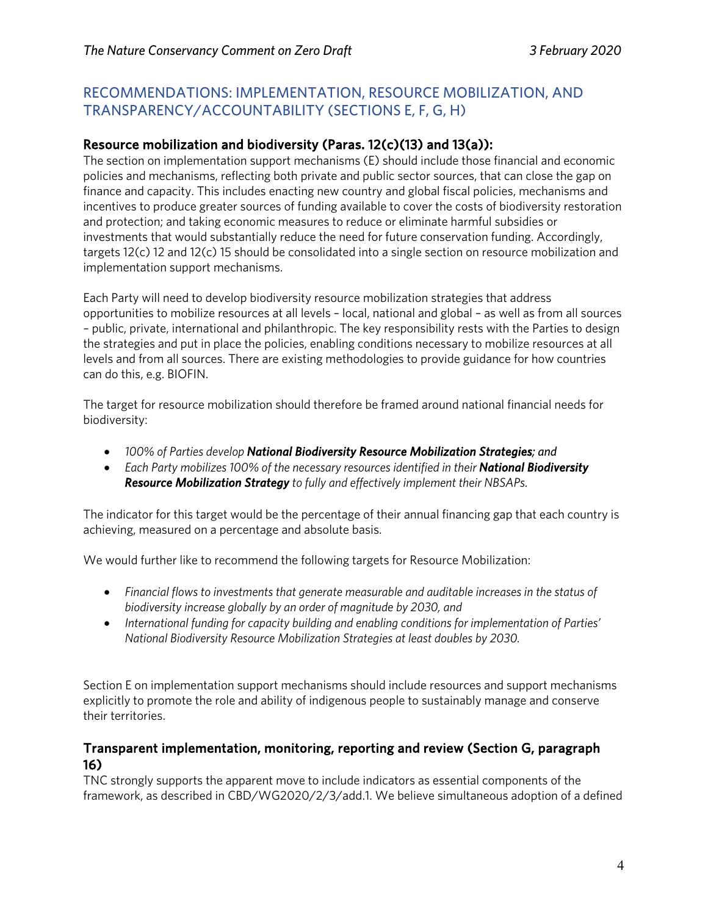### RECOMMENDATIONS: IMPLEMENTATION, RESOURCE MOBILIZATION, AND TRANSPARENCY/ACCOUNTABILITY (SECTIONS E, F, G, H)

### Resource mobilization and biodiversity (Paras. 12(c)(13) and 13(a)):

The section on implementation support mechanisms (E) should include those financial and economic policies and mechanisms, reflecting both private and public sector sources, that can close the gap on finance and capacity. This includes enacting new country and global fiscal policies, mechanisms and incentives to produce greater sources of funding available to cover the costs of biodiversity restoration and protection; and taking economic measures to reduce or eliminate harmful subsidies or investments that would substantially reduce the need for future conservation funding. Accordingly, targets 12(c) 12 and 12(c) 15 should be consolidated into a single section on resource mobilization and implementation support mechanisms.

Each Party will need to develop biodiversity resource mobilization strategies that address opportunities to mobilize resources at all levels – local, national and global – as well as from all sources – public, private, international and philanthropic. The key responsibility rests with the Parties to design the strategies and put in place the policies, enabling conditions necessary to mobilize resources at all levels and from all sources. There are existing methodologies to provide guidance for how countries can do this, e.g. BIOFIN.

The target for resource mobilization should therefore be framed around national financial needs for biodiversity:

- *100% of Parties develop National Biodiversity Resource Mobilization Strategies; and*
- *Each Party mobilizes 100% of the necessary resources identified in their National Biodiversity Resource Mobilization Strategy to fully and effectively implement their NBSAPs.*

The indicator for this target would be the percentage of their annual financing gap that each country is achieving, measured on a percentage and absolute basis.

We would further like to recommend the following targets for Resource Mobilization:

- *Financial flows to investments that generate measurable and auditable increases in the status of biodiversity increase globally by an order of magnitude by 2030, and*
- *International funding for capacity building and enabling conditions for implementation of Parties' National Biodiversity Resource Mobilization Strategies at least doubles by 2030.*

Section E on implementation support mechanisms should include resources and support mechanisms explicitly to promote the role and ability of indigenous people to sustainably manage and conserve their territories.

### Transparent implementation, monitoring, reporting and review (Section G, paragraph 16)

TNC strongly supports the apparent move to include indicators as essential components of the framework, as described in CBD/WG2020/2/3/add.1. We believe simultaneous adoption of a defined